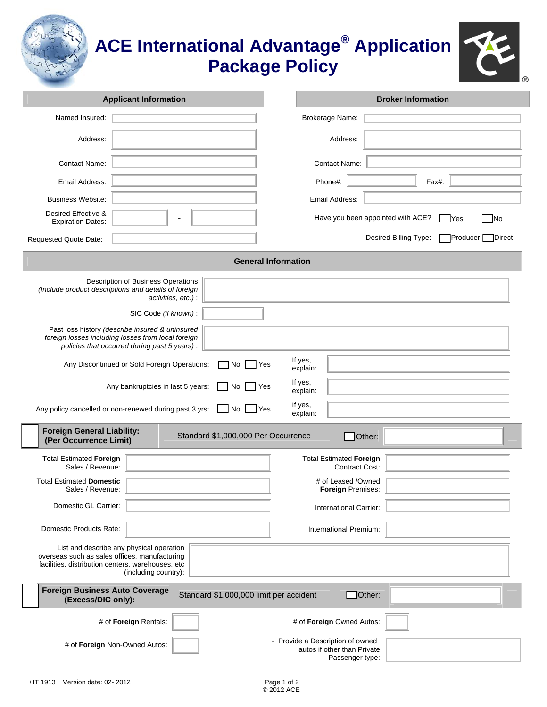|                                                                                                    |                                                                                                                                                                                                                                                                                                                                                                  | <b>ACE International Advantage<sup>®</sup> Application</b><br><b>Package Policy</b><br>® |
|----------------------------------------------------------------------------------------------------|------------------------------------------------------------------------------------------------------------------------------------------------------------------------------------------------------------------------------------------------------------------------------------------------------------------------------------------------------------------|------------------------------------------------------------------------------------------|
|                                                                                                    | <b>Applicant Information</b>                                                                                                                                                                                                                                                                                                                                     | <b>Broker Information</b>                                                                |
| Named Insured:                                                                                     |                                                                                                                                                                                                                                                                                                                                                                  | Brokerage Name:                                                                          |
| Address:                                                                                           |                                                                                                                                                                                                                                                                                                                                                                  | Address:                                                                                 |
| <b>Contact Name:</b>                                                                               |                                                                                                                                                                                                                                                                                                                                                                  | <b>Contact Name:</b>                                                                     |
| Email Address:                                                                                     |                                                                                                                                                                                                                                                                                                                                                                  | Phone#:<br>Fax#:                                                                         |
| <b>Business Website:</b>                                                                           |                                                                                                                                                                                                                                                                                                                                                                  | Email Address:                                                                           |
| Desired Effective &<br><b>Expiration Dates:</b>                                                    |                                                                                                                                                                                                                                                                                                                                                                  | Have you been appointed with ACE?<br>7No<br><b>IYes</b>                                  |
| Requested Quote Date:                                                                              |                                                                                                                                                                                                                                                                                                                                                                  | Desired Billing Type:<br>ヿProducer I<br>Direct                                           |
|                                                                                                    |                                                                                                                                                                                                                                                                                                                                                                  | <b>General Information</b>                                                               |
|                                                                                                    | Description of Business Operations<br>(Include product descriptions and details of foreign<br>activities, etc.):<br>SIC Code (if known):<br>Past loss history (describe insured & uninsured<br>foreign losses including losses from local foreign<br>policies that occurred during past 5 years):<br>Any Discontinued or Sold Foreign Operations:<br>No.<br> Yes | If yes,<br>explain:                                                                      |
|                                                                                                    | Any bankruptcies in last 5 years:<br>No<br>I Yes                                                                                                                                                                                                                                                                                                                 | If yes,<br>explain:                                                                      |
|                                                                                                    | Any policy cancelled or non-renewed during past 3 yrs:<br>]No [<br>∐ Yes                                                                                                                                                                                                                                                                                         | If yes,<br>explain:                                                                      |
| <b>Foreign General Liability:</b><br>(Per Occurrence Limit)                                        | Standard \$1,000,000 Per Occurrence                                                                                                                                                                                                                                                                                                                              | $\Box$ Other:                                                                            |
| <b>Total Estimated Foreign</b><br>Sales / Revenue:                                                 |                                                                                                                                                                                                                                                                                                                                                                  | <b>Total Estimated Foreign</b><br><b>Contract Cost:</b>                                  |
| <b>Total Estimated Domestic</b><br>Sales / Revenue:                                                |                                                                                                                                                                                                                                                                                                                                                                  | # of Leased /Owned<br>Foreign Premises:                                                  |
| Domestic GL Carrier:                                                                               |                                                                                                                                                                                                                                                                                                                                                                  | International Carrier:                                                                   |
| Domestic Products Rate:                                                                            |                                                                                                                                                                                                                                                                                                                                                                  | International Premium:                                                                   |
| overseas such as sales offices, manufacturing<br>facilities, distribution centers, warehouses, etc | List and describe any physical operation<br>(including country):                                                                                                                                                                                                                                                                                                 |                                                                                          |
| <b>Foreign Business Auto Coverage</b><br>(Excess/DIC only):                                        | Standard \$1,000,000 limit per accident                                                                                                                                                                                                                                                                                                                          | Other:                                                                                   |
|                                                                                                    | # of Foreign Rentals:                                                                                                                                                                                                                                                                                                                                            | # of Foreign Owned Autos:                                                                |
|                                                                                                    | # of Foreign Non-Owned Autos:                                                                                                                                                                                                                                                                                                                                    | - Provide a Description of owned<br>autos if other than Private                          |

Passenger type: